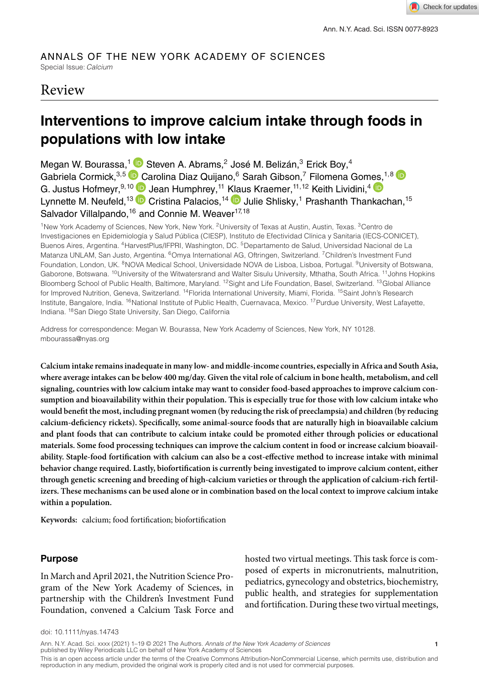#### ANNALS OF THE NEW YORK ACADEMY OF SCIENCES Special Issue: *Calcium*

# Review

# **Interventions to improve calcium intake through foods in populations with low intake**

Megan W. Bourassa,<sup>1</sup> D Steven A. Abrams,<sup>2</sup> José M. Belizán,<sup>3</sup> Erick Boy,<sup>4</sup> Gabriela [C](https://orcid.org/0000-0002-3080-1007)ormick, 3,5 Carolina Diaz Quijano, 6 Sarah Gibson, 7 Filomena Gom[es,](https://orcid.org/0000-0002-5037-193X) 1,8 C G. Justus Hofmeyr, <sup>9,10</sup> Dean Humphrey, <sup>11</sup> [Klau](https://orcid.org/0000-0001-9437-0376)s Kraemer, <sup>11, 12</sup> Keith Lividini, <sup>4</sup> Lynnette M. Neufeld,<sup>13</sup> D Cristina Palacios,<sup>14</sup> D Julie Shlisky,<sup>1</sup> Prashanth Thankachan,<sup>15</sup> Salvador Villalpando,<sup>16</sup> and Connie M. Weaver<sup>17,18</sup>

<sup>1</sup>New York Academy of Sciences, New York, New York. <sup>2</sup>University of Texas at Austin, Austin, Texas. <sup>3</sup>Centro de Investigaciones en Epidemiología y Salud Pública (CIESP), Instituto de Efectividad Clínica y Sanitaria (IECS-CONICET), Buenos Aires, Argentina. 4HarvestPlus/IFPRI, Washington, DC. 5Departamento de Salud, Universidad Nacional de La Matanza UNLAM, San Justo, Argentina. <sup>6</sup>Omya International AG, Oftringen, Switzerland. <sup>7</sup>Children's Investment Fund Foundation, London, UK. <sup>8</sup>NOVA Medical School, Universidade NOVA de Lisboa, Lisboa, Portugal. <sup>9</sup>University of Botswana, Gaborone, Botswana. <sup>10</sup>University of the Witwatersrand and Walter Sisulu University, Mthatha, South Africa. <sup>11</sup>Johns Hopkins Bloomberg School of Public Health, Baltimore, Maryland. 12Sight and Life Foundation, Basel, Switzerland. 13Global Alliance for Improved Nutrition, Geneva, Switzerland. <sup>14</sup>Florida International University, Miami, Florida. <sup>15</sup>Saint John's Research Institute, Bangalore, India. <sup>16</sup>National Institute of Public Health, Cuernavaca, Mexico. <sup>17</sup>Purdue University, West Lafayette, Indiana. 18San Diego State University, San Diego, California

Address for correspondence: Megan W. Bourassa, New York Academy of Sciences, New York, NY 10128. mbourassa@nyas.org

**Calcium intake remains inadequate in many low- and middle-income countries, especially in Africa and South Asia, where average intakes can be below 400 mg/day. Given the vital role of calcium in bone health, metabolism, and cell signaling, countries with low calcium intake may want to consider food-based approaches to improve calcium consumption and bioavailability within their population. This is especially true for those with low calcium intake who would benefit the most, including pregnant women (by reducing the risk of preeclampsia) and children (by reducing calcium-deficiency rickets). Specifically, some animal-source foods that are naturally high in bioavailable calcium and plant foods that can contribute to calcium intake could be promoted either through policies or educational materials. Some food processing techniques can improve the calcium content in food or increase calcium bioavailability. Staple-food fortification with calcium can also be a cost-effective method to increase intake with minimal behavior change required. Lastly, biofortification is currently being investigated to improve calcium content, either through genetic screening and breeding of high-calcium varieties or through the application of calcium-rich fertilizers. These mechanisms can be used alone or in combination based on the local context to improve calcium intake within a population.**

**Keywords:** calcium; food fortification; biofortification

# **Purpose**

In March and April 2021, the Nutrition Science Program of the New York Academy of Sciences, in partnership with the Children's Investment Fund Foundation, convened a Calcium Task Force and hosted two virtual meetings. This task force is composed of experts in micronutrients, malnutrition, pediatrics, gynecology and obstetrics, biochemistry, public health, and strategies for supplementation and fortification. During these two virtual meetings,

doi: 10.1111/nyas.14743

Ann. N.Y. Acad. Sci. xxxx (2021) 1–19 © 2021 The Authors. *Annals of the New York Academy of Sciences* **1** published by Wiley Periodicals LLC on behalf of New York Academy of Sciences

This is an open access article under the terms of the [Creative Commons Attribution-NonCommercial](http://creativecommons.org/licenses/by-nc/4.0/) License, which permits use, distribution and<br>reproduction in any medium, provided the original work is properly cited and is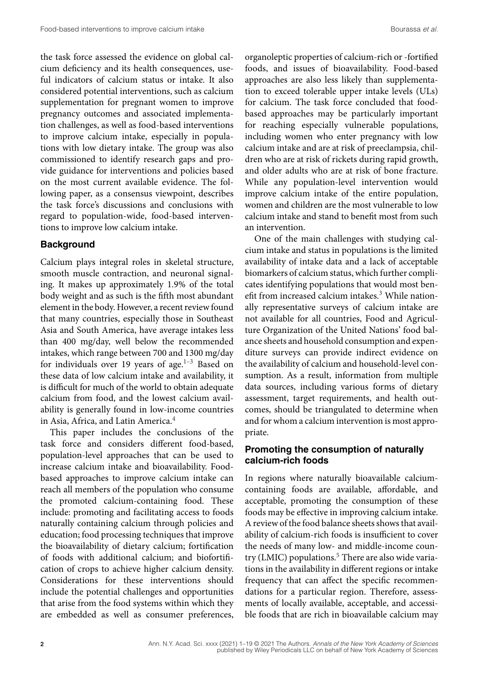the task force assessed the evidence on global calcium deficiency and its health consequences, useful indicators of calcium status or intake. It also considered potential interventions, such as calcium supplementation for pregnant women to improve pregnancy outcomes and associated implementation challenges, as well as food-based interventions to improve calcium intake, especially in populations with low dietary intake. The group was also commissioned to identify research gaps and provide guidance for interventions and policies based on the most current available evidence. The following paper, as a consensus viewpoint, describes the task force's discussions and conclusions with regard to population-wide, food-based interventions to improve low calcium intake.

# **Background**

Calcium plays integral roles in skeletal structure, smooth muscle contraction, and neuronal signaling. It makes up approximately 1.9% of the total body weight and as such is the fifth most abundant element in the body. However, a recent review found that many countries, especially those in Southeast Asia and South America, have average intakes less than 400 mg/day, well below the recommended intakes, which range between 700 and 1300 mg/day for individuals over 19 years of age. $1-3$  Based on these data of low calcium intake and availability, it is difficult for much of the world to obtain adequate calcium from food, and the lowest calcium availability is generally found in low-income countries in Asia, Africa, and Latin America.<sup>4</sup>

This paper includes the conclusions of the task force and considers different food-based, population-level approaches that can be used to increase calcium intake and bioavailability. Foodbased approaches to improve calcium intake can reach all members of the population who consume the promoted calcium-containing food. These include: promoting and facilitating access to foods naturally containing calcium through policies and education; food processing techniques that improve the bioavailability of dietary calcium; fortification of foods with additional calcium; and biofortification of crops to achieve higher calcium density. Considerations for these interventions should include the potential challenges and opportunities that arise from the food systems within which they are embedded as well as consumer preferences, organoleptic properties of calcium-rich or -fortified foods, and issues of bioavailability. Food-based approaches are also less likely than supplementation to exceed tolerable upper intake levels (ULs) for calcium. The task force concluded that foodbased approaches may be particularly important for reaching especially vulnerable populations, including women who enter pregnancy with low calcium intake and are at risk of preeclampsia, children who are at risk of rickets during rapid growth, and older adults who are at risk of bone fracture. While any population-level intervention would improve calcium intake of the entire population, women and children are the most vulnerable to low calcium intake and stand to benefit most from such an intervention.

One of the main challenges with studying calcium intake and status in populations is the limited availability of intake data and a lack of acceptable biomarkers of calcium status, which further complicates identifying populations that would most benefit from increased calcium intakes.<sup>3</sup> While nationally representative surveys of calcium intake are not available for all countries, Food and Agriculture Organization of the United Nations' food balance sheets and household consumption and expenditure surveys can provide indirect evidence on the availability of calcium and household-level consumption. As a result, information from multiple data sources, including various forms of dietary assessment, target requirements, and health outcomes, should be triangulated to determine when and for whom a calcium intervention is most appropriate.

# **Promoting the consumption of naturally calcium-rich foods**

In regions where naturally bioavailable calciumcontaining foods are available, affordable, and acceptable, promoting the consumption of these foods may be effective in improving calcium intake. A review of the food balance sheets shows that availability of calcium-rich foods is insufficient to cover the needs of many low- and middle-income country (LMIC) populations.<sup>5</sup> There are also wide variations in the availability in different regions or intake frequency that can affect the specific recommendations for a particular region. Therefore, assessments of locally available, acceptable, and accessible foods that are rich in bioavailable calcium may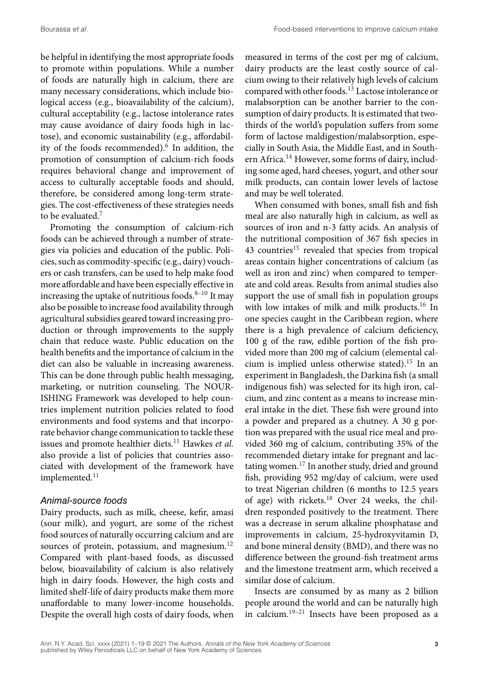be helpful in identifying the most appropriate foods to promote within populations. While a number of foods are naturally high in calcium, there are many necessary considerations, which include biological access (e.g., bioavailability of the calcium), cultural acceptability (e.g., lactose intolerance rates may cause avoidance of dairy foods high in lactose), and economic sustainability (e.g., affordability of the foods recommended).<sup>6</sup> In addition, the promotion of consumption of calcium-rich foods requires behavioral change and improvement of access to culturally acceptable foods and should, therefore, be considered among long-term strategies. The cost-effectiveness of these strategies needs to be evaluated.<sup>7</sup>

Promoting the consumption of calcium-rich foods can be achieved through a number of strategies via policies and education of the public. Policies, such as commodity-specific (e.g., dairy) vouchers or cash transfers, can be used to help make food more affordable and have been especially effective in increasing the uptake of nutritious foods. $8-10$  It may also be possible to increase food availability through agricultural subsidies geared toward increasing production or through improvements to the supply chain that reduce waste. Public education on the health benefits and the importance of calcium in the diet can also be valuable in increasing awareness. This can be done through public health messaging, marketing, or nutrition counseling. The NOUR-ISHING Framework was developed to help countries implement nutrition policies related to food environments and food systems and that incorporate behavior change communication to tackle these issues and promote healthier diets.<sup>11</sup> Hawkes et al. also provide a list of policies that countries associated with development of the framework have implemented.<sup>11</sup>

#### *Animal-source foods*

Dairy products, such as milk, cheese, kefir, amasi (sour milk), and yogurt, are some of the richest food sources of naturally occurring calcium and are sources of protein, potassium, and magnesium.<sup>12</sup> Compared with plant-based foods, as discussed below, bioavailability of calcium is also relatively high in dairy foods. However, the high costs and limited shelf-life of dairy products make them more unaffordable to many lower-income households. Despite the overall high costs of dairy foods, when

measured in terms of the cost per mg of calcium, dairy products are the least costly source of calcium owing to their relatively high levels of calcium compared with other foods.<sup>13</sup> Lactose intolerance or malabsorption can be another barrier to the consumption of dairy products. It is estimated that twothirds of the world's population suffers from some form of lactose maldigestion/malabsorption, especially in South Asia, the Middle East, and in Southern Africa.<sup>14</sup> However, some forms of dairy, including some aged, hard cheeses, yogurt, and other sour milk products, can contain lower levels of lactose and may be well tolerated.

When consumed with bones, small fish and fish meal are also naturally high in calcium, as well as sources of iron and n-3 fatty acids. An analysis of the nutritional composition of 367 fish species in 43 countries<sup>15</sup> revealed that species from tropical areas contain higher concentrations of calcium (as well as iron and zinc) when compared to temperate and cold areas. Results from animal studies also support the use of small fish in population groups with low intakes of milk and milk products.<sup>16</sup> In one species caught in the Caribbean region, where there is a high prevalence of calcium deficiency, 100 g of the raw, edible portion of the fish provided more than 200 mg of calcium (elemental calcium is implied unless otherwise stated).<sup>15</sup> In an experiment in Bangladesh, the Darkina fish (a small indigenous fish) was selected for its high iron, calcium, and zinc content as a means to increase mineral intake in the diet. These fish were ground into a powder and prepared as a chutney. A 30 g portion was prepared with the usual rice meal and provided 360 mg of calcium, contributing 35% of the recommended dietary intake for pregnant and lactating women.<sup>17</sup> In another study, dried and ground fish, providing 952 mg/day of calcium, were used to treat Nigerian children (6 months to 12.5 years of age) with rickets.<sup>18</sup> Over 24 weeks, the children responded positively to the treatment. There was a decrease in serum alkaline phosphatase and improvements in calcium, 25-hydroxyvitamin D, and bone mineral density (BMD), and there was no difference between the ground-fish treatment arms and the limestone treatment arm, which received a similar dose of calcium.

Insects are consumed by as many as 2 billion people around the world and can be naturally high in calcium.19–21 Insects have been proposed as a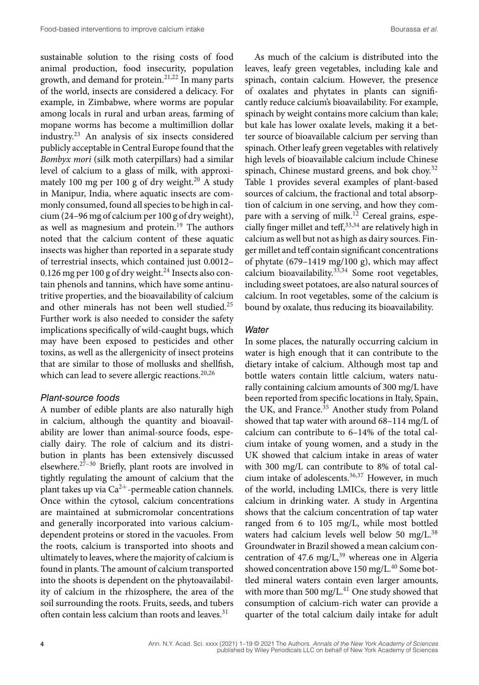sustainable solution to the rising costs of food animal production, food insecurity, population growth, and demand for protein.21,22 In many parts of the world, insects are considered a delicacy. For example, in Zimbabwe, where worms are popular among locals in rural and urban areas, farming of mopane worms has become a multimillion dollar industry.23 An analysis of six insects considered publicly acceptable in Central Europe found that the *Bombyx mori* (silk moth caterpillars) had a similar level of calcium to a glass of milk, with approximately 100 mg per 100 g of dry weight.<sup>20</sup> A study in Manipur, India, where aquatic insects are commonly consumed, found all species to be high in calcium (24–96 mg of calcium per 100 g of dry weight), as well as magnesium and protein.<sup>19</sup> The authors noted that the calcium content of these aquatic insects was higher than reported in a separate study of terrestrial insects, which contained just 0.0012– 0.126 mg per 100 g of dry weight. $^{24}$  Insects also contain phenols and tannins, which have some antinutritive properties, and the bioavailability of calcium and other minerals has not been well studied.<sup>25</sup> Further work is also needed to consider the safety implications specifically of wild-caught bugs, which may have been exposed to pesticides and other toxins, as well as the allergenicity of insect proteins that are similar to those of mollusks and shellfish, which can lead to severe allergic reactions. $20,26$ 

#### *Plant-source foods*

A number of edible plants are also naturally high in calcium, although the quantity and bioavailability are lower than animal-source foods, especially dairy. The role of calcium and its distribution in plants has been extensively discussed elsewhere.27–30 Briefly, plant roots are involved in tightly regulating the amount of calcium that the plant takes up via  $Ca^{2+}$ -permeable cation channels. Once within the cytosol, calcium concentrations are maintained at submicromolar concentrations and generally incorporated into various calciumdependent proteins or stored in the vacuoles. From the roots, calcium is transported into shoots and ultimately to leaves, where the majority of calcium is found in plants. The amount of calcium transported into the shoots is dependent on the phytoavailability of calcium in the rhizosphere, the area of the soil surrounding the roots. Fruits, seeds, and tubers often contain less calcium than roots and leaves.<sup>31</sup>

As much of the calcium is distributed into the leaves, leafy green vegetables, including kale and spinach, contain calcium. However, the presence of oxalates and phytates in plants can significantly reduce calcium's bioavailability. For example, spinach by weight contains more calcium than kale; but kale has lower oxalate levels, making it a better source of bioavailable calcium per serving than spinach. Other leafy green vegetables with relatively high levels of bioavailable calcium include Chinese spinach, Chinese mustard greens, and bok choy.<sup>32</sup> Table 1 provides several examples of plant-based sources of calcium, the fractional and total absorption of calcium in one serving, and how they compare with a serving of milk.<sup>12</sup> Cereal grains, especially finger millet and teff,  $33,34$  are relatively high in calcium as well but not as high as dairy sources. Finger millet and teff contain significant concentrations of phytate (679–1419 mg/100 g), which may affect calcium bioavailability. $33,34$  Some root vegetables, including sweet potatoes, are also natural sources of calcium. In root vegetables, some of the calcium is bound by oxalate, thus reducing its bioavailability.

### *Water*

In some places, the naturally occurring calcium in water is high enough that it can contribute to the dietary intake of calcium. Although most tap and bottle waters contain little calcium, waters naturally containing calcium amounts of 300 mg/L have been reported from specific locations in Italy, Spain, the UK, and France.<sup>35</sup> Another study from Poland showed that tap water with around 68–114 mg/L of calcium can contribute to 6–14% of the total calcium intake of young women, and a study in the UK showed that calcium intake in areas of water with 300 mg/L can contribute to 8% of total calcium intake of adolescents.<sup>36,37</sup> However, in much of the world, including LMICs, there is very little calcium in drinking water. A study in Argentina shows that the calcium concentration of tap water ranged from 6 to 105 mg/L, while most bottled waters had calcium levels well below 50 mg/L.<sup>38</sup> Groundwater in Brazil showed a mean calcium concentration of 47.6 mg/L, $^{39}$  whereas one in Algeria showed concentration above 150 mg/L.<sup>40</sup> Some bottled mineral waters contain even larger amounts, with more than 500 mg/L. $^{41}$  One study showed that consumption of calcium-rich water can provide a quarter of the total calcium daily intake for adult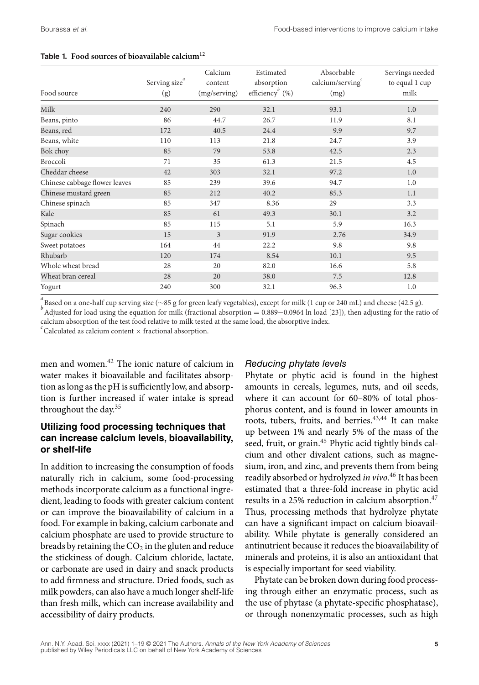| Food source                   | Serving size $\degree$<br>(g) | Calcium<br>content<br>(mg/serving) | Estimated<br>absorption<br>efficiency <sup>b</sup> (%) | Absorbable<br>calcium/serving<br>(mg) | Servings needed<br>to equal 1 cup<br>milk |
|-------------------------------|-------------------------------|------------------------------------|--------------------------------------------------------|---------------------------------------|-------------------------------------------|
| Milk                          | 240                           | 290                                | 32.1                                                   | 93.1                                  | 1.0                                       |
| Beans, pinto                  | 86                            | 44.7                               | 26.7                                                   | 11.9                                  | 8.1                                       |
| Beans, red                    | 172                           | 40.5                               | 24.4                                                   | 9.9                                   | 9.7                                       |
| Beans, white                  | 110                           | 113                                | 21.8                                                   | 24.7                                  | 3.9                                       |
| Bok choy                      | 85                            | 79                                 | 53.8                                                   | 42.5                                  | 2.3                                       |
| Broccoli                      | 71                            | 35                                 | 61.3                                                   | 21.5                                  | 4.5                                       |
| Cheddar cheese                | 42                            | 303                                | 32.1                                                   | 97.2                                  | 1.0                                       |
| Chinese cabbage flower leaves | 85                            | 239                                | 39.6                                                   | 94.7                                  | 1.0                                       |
| Chinese mustard green         | 85                            | 212                                | 40.2                                                   | 85.3                                  | 1.1                                       |
| Chinese spinach               | 85                            | 347                                | 8.36                                                   | 29                                    | 3.3                                       |
| Kale                          | 85                            | 61                                 | 49.3                                                   | 30.1                                  | 3.2                                       |
| Spinach                       | 85                            | 115                                | 5.1                                                    | 5.9                                   | 16.3                                      |
| Sugar cookies                 | 15                            | 3                                  | 91.9                                                   | 2.76                                  | 34.9                                      |
| Sweet potatoes                | 164                           | 44                                 | 22.2                                                   | 9.8                                   | 9.8                                       |
| Rhubarb                       | 120                           | 174                                | 8.54                                                   | 10.1                                  | 9.5                                       |
| Whole wheat bread             | 28                            | 20                                 | 82.0                                                   | 16.6                                  | 5.8                                       |
| Wheat bran cereal             | 28                            | 20                                 | 38.0                                                   | 7.5                                   | 12.8                                      |
| Yogurt                        | 240                           | 300                                | 32.1                                                   | 96.3                                  | 1.0                                       |

#### **Table 1. Food sources of bioavailable calcium<sup>12</sup>**

*a* Based on a one-half cup serving size (∼85 g for green leafy vegetables), except for milk (1 cup or 240 mL) and cheese (42.5 g). *<sup>b</sup>*

Adjusted for load using the equation for milk (fractional absorption = 0.889−0.0964 ln load [23]), then adjusting for the ratio of calcium absorption of the test food relative to milk tested at the same load, the absorptive index.

 $c^c$ Calculated as calcium content  $\times$  fractional absorption.

men and women.42 The ionic nature of calcium in water makes it bioavailable and facilitates absorption as long as the pH is sufficiently low, and absorption is further increased if water intake is spread throughout the day.35

# **Utilizing food processing techniques that can increase calcium levels, bioavailability, or shelf-life**

In addition to increasing the consumption of foods naturally rich in calcium, some food-processing methods incorporate calcium as a functional ingredient, leading to foods with greater calcium content or can improve the bioavailability of calcium in a food. For example in baking, calcium carbonate and calcium phosphate are used to provide structure to breads by retaining the  $CO<sub>2</sub>$  in the gluten and reduce the stickiness of dough. Calcium chloride, lactate, or carbonate are used in dairy and snack products to add firmness and structure. Dried foods, such as milk powders, can also have a much longer shelf-life than fresh milk, which can increase availability and accessibility of dairy products.

# *Reducing phytate levels*

Phytate or phytic acid is found in the highest amounts in cereals, legumes, nuts, and oil seeds, where it can account for 60–80% of total phosphorus content, and is found in lower amounts in roots, tubers, fruits, and berries.<sup>43,44</sup> It can make up between 1% and nearly 5% of the mass of the seed, fruit, or grain.<sup>45</sup> Phytic acid tightly binds calcium and other divalent cations, such as magnesium, iron, and zinc, and prevents them from being readily absorbed or hydrolyzed *in vivo*. <sup>46</sup> It has been estimated that a three-fold increase in phytic acid results in a 25% reduction in calcium absorption.<sup>47</sup> Thus, processing methods that hydrolyze phytate can have a significant impact on calcium bioavailability. While phytate is generally considered an antinutrient because it reduces the bioavailability of minerals and proteins, it is also an antioxidant that is especially important for seed viability.

Phytate can be broken down during food processing through either an enzymatic process, such as the use of phytase (a phytate-specific phosphatase), or through nonenzymatic processes, such as high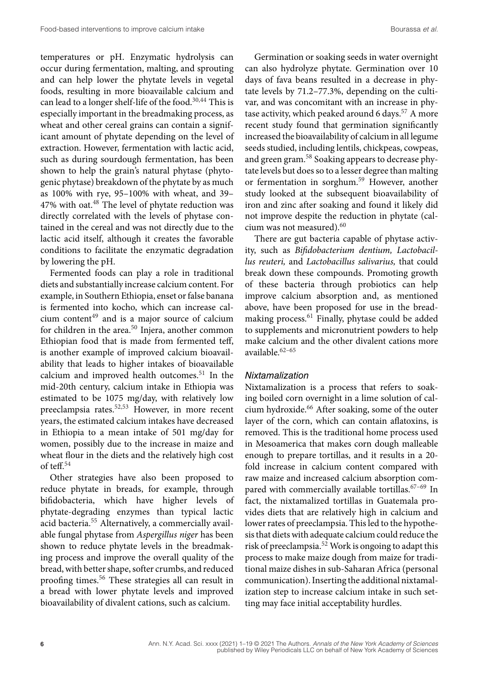temperatures or pH. Enzymatic hydrolysis can occur during fermentation, malting, and sprouting and can help lower the phytate levels in vegetal foods, resulting in more bioavailable calcium and can lead to a longer shelf-life of the food.<sup>30,44</sup> This is especially important in the breadmaking process, as wheat and other cereal grains can contain a significant amount of phytate depending on the level of extraction. However, fermentation with lactic acid, such as during sourdough fermentation, has been shown to help the grain's natural phytase (phytogenic phytase) breakdown of the phytate by as much as 100% with rye, 95–100% with wheat, and 39– 47% with oat.<sup>48</sup> The level of phytate reduction was directly correlated with the levels of phytase contained in the cereal and was not directly due to the lactic acid itself, although it creates the favorable conditions to facilitate the enzymatic degradation by lowering the pH.

Fermented foods can play a role in traditional diets and substantially increase calcium content. For example, in Southern Ethiopia, enset or false banana is fermented into kocho, which can increase calcium content<sup>49</sup> and is a major source of calcium for children in the area.<sup>50</sup> Injera, another common Ethiopian food that is made from fermented teff, is another example of improved calcium bioavailability that leads to higher intakes of bioavailable calcium and improved health outcomes.<sup>51</sup> In the mid-20th century, calcium intake in Ethiopia was estimated to be 1075 mg/day, with relatively low preeclampsia rates.52,53 However, in more recent years, the estimated calcium intakes have decreased in Ethiopia to a mean intake of 501 mg/day for women, possibly due to the increase in maize and wheat flour in the diets and the relatively high cost of teff.<sup>54</sup>

Other strategies have also been proposed to reduce phytate in breads, for example, through bifidobacteria, which have higher levels of phytate-degrading enzymes than typical lactic acid bacteria.<sup>55</sup> Alternatively, a commercially available fungal phytase from *Aspergillus niger* has been shown to reduce phytate levels in the breadmaking process and improve the overall quality of the bread, with better shape, softer crumbs, and reduced proofing times.<sup>56</sup> These strategies all can result in a bread with lower phytate levels and improved bioavailability of divalent cations, such as calcium.

Germination or soaking seeds in water overnight can also hydrolyze phytate. Germination over 10 days of fava beans resulted in a decrease in phytate levels by 71.2–77.3%, depending on the cultivar, and was concomitant with an increase in phytase activity, which peaked around 6 days.<sup>57</sup> A more recent study found that germination significantly increased the bioavailability of calcium in all legume seeds studied, including lentils, chickpeas, cowpeas, and green gram.<sup>58</sup> Soaking appears to decrease phytate levels but does so to a lesser degree than malting or fermentation in sorghum.59 However, another study looked at the subsequent bioavailability of iron and zinc after soaking and found it likely did not improve despite the reduction in phytate (calcium was not measured).<sup>60</sup>

There are gut bacteria capable of phytase activity, such as *Bifidobacterium dentium, Lactobacillus reuteri,* and *Lactobacillus salivarius,* that could break down these compounds. Promoting growth of these bacteria through probiotics can help improve calcium absorption and, as mentioned above, have been proposed for use in the breadmaking process.61 Finally, phytase could be added to supplements and micronutrient powders to help make calcium and the other divalent cations more available. $62-65$ 

### *Nixtamalization*

Nixtamalization is a process that refers to soaking boiled corn overnight in a lime solution of calcium hydroxide.<sup>66</sup> After soaking, some of the outer layer of the corn, which can contain aflatoxins, is removed. This is the traditional home process used in Mesoamerica that makes corn dough malleable enough to prepare tortillas, and it results in a 20 fold increase in calcium content compared with raw maize and increased calcium absorption compared with commercially available tortillas.<sup>67-69</sup> In fact, the nixtamalized tortillas in Guatemala provides diets that are relatively high in calcium and lower rates of preeclampsia. This led to the hypothesis that diets with adequate calcium could reduce the risk of preeclampsia.<sup>52</sup> Work is ongoing to adapt this process to make maize dough from maize for traditional maize dishes in sub-Saharan Africa (personal communication). Inserting the additional nixtamalization step to increase calcium intake in such setting may face initial acceptability hurdles.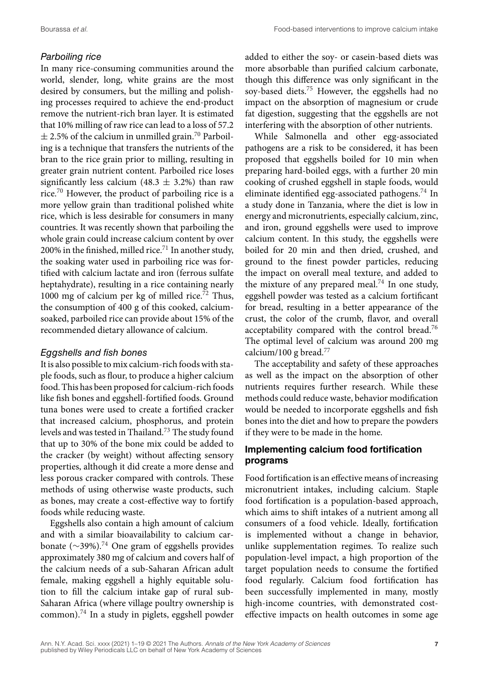# *Parboiling rice*

In many rice-consuming communities around the world, slender, long, white grains are the most desired by consumers, but the milling and polishing processes required to achieve the end-product remove the nutrient-rich bran layer. It is estimated that 10% milling of raw rice can lead to a loss of 57.2  $\pm$  2.5% of the calcium in unmilled grain.<sup>70</sup> Parboiling is a technique that transfers the nutrients of the bran to the rice grain prior to milling, resulting in greater grain nutrient content. Parboiled rice loses significantly less calcium (48.3  $\pm$  3.2%) than raw rice.70 However, the product of parboiling rice is a more yellow grain than traditional polished white rice, which is less desirable for consumers in many countries. It was recently shown that parboiling the whole grain could increase calcium content by over 200% in the finished, milled rice.<sup>71</sup> In another study, the soaking water used in parboiling rice was fortified with calcium lactate and iron (ferrous sulfate heptahydrate), resulting in a rice containing nearly 1000 mg of calcium per kg of milled rice.<sup>72</sup> Thus, the consumption of 400 g of this cooked, calciumsoaked, parboiled rice can provide about 15% of the recommended dietary allowance of calcium.

# *Eggshells and fish bones*

It is also possible to mix calcium-rich foods with staple foods, such as flour, to produce a higher calcium food. This has been proposed for calcium-rich foods like fish bones and eggshell-fortified foods. Ground tuna bones were used to create a fortified cracker that increased calcium, phosphorus, and protein levels and was tested in Thailand.<sup>73</sup> The study found that up to 30% of the bone mix could be added to the cracker (by weight) without affecting sensory properties, although it did create a more dense and less porous cracker compared with controls. These methods of using otherwise waste products, such as bones, may create a cost-effective way to fortify foods while reducing waste.

Eggshells also contain a high amount of calcium and with a similar bioavailability to calcium carbonate (∼39%).74 One gram of eggshells provides approximately 380 mg of calcium and covers half of the calcium needs of a sub-Saharan African adult female, making eggshell a highly equitable solution to fill the calcium intake gap of rural sub-Saharan Africa (where village poultry ownership is common).74 In a study in piglets, eggshell powder

added to either the soy- or casein-based diets was more absorbable than purified calcium carbonate, though this difference was only significant in the soy-based diets.<sup>75</sup> However, the eggshells had no impact on the absorption of magnesium or crude fat digestion, suggesting that the eggshells are not interfering with the absorption of other nutrients.

While Salmonella and other egg-associated pathogens are a risk to be considered, it has been proposed that eggshells boiled for 10 min when preparing hard-boiled eggs, with a further 20 min cooking of crushed eggshell in staple foods, would eliminate identified egg-associated pathogens.<sup>74</sup> In a study done in Tanzania, where the diet is low in energy and micronutrients, especially calcium, zinc, and iron, ground eggshells were used to improve calcium content. In this study, the eggshells were boiled for 20 min and then dried, crushed, and ground to the finest powder particles, reducing the impact on overall meal texture, and added to the mixture of any prepared meal.<sup>74</sup> In one study, eggshell powder was tested as a calcium fortificant for bread, resulting in a better appearance of the crust, the color of the crumb, flavor, and overall acceptability compared with the control bread.<sup>76</sup> The optimal level of calcium was around 200 mg calcium/100 g bread.77

The acceptability and safety of these approaches as well as the impact on the absorption of other nutrients requires further research. While these methods could reduce waste, behavior modification would be needed to incorporate eggshells and fish bones into the diet and how to prepare the powders if they were to be made in the home.

# **Implementing calcium food fortification programs**

Food fortification is an effective means of increasing micronutrient intakes, including calcium. Staple food fortification is a population-based approach, which aims to shift intakes of a nutrient among all consumers of a food vehicle. Ideally, fortification is implemented without a change in behavior, unlike supplementation regimes. To realize such population-level impact, a high proportion of the target population needs to consume the fortified food regularly. Calcium food fortification has been successfully implemented in many, mostly high-income countries, with demonstrated costeffective impacts on health outcomes in some age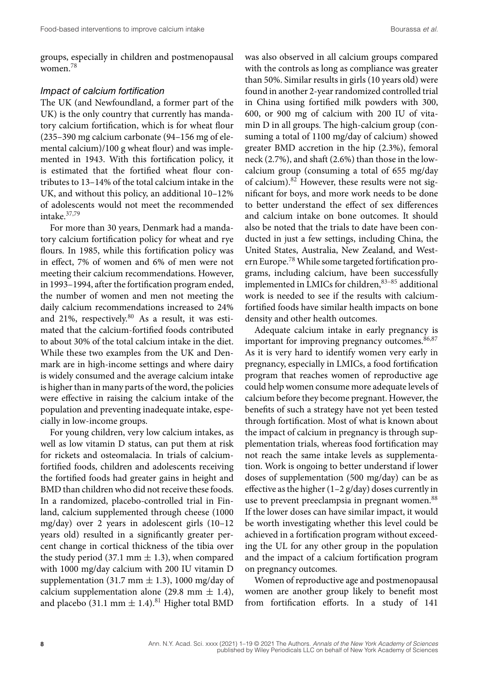groups, especially in children and postmenopausal women.<sup>78</sup>

#### *Impact of calcium fortification*

The UK (and Newfoundland, a former part of the UK) is the only country that currently has mandatory calcium fortification, which is for wheat flour (235–390 mg calcium carbonate (94–156 mg of elemental calcium)/100 g wheat flour) and was implemented in 1943. With this fortification policy, it is estimated that the fortified wheat flour contributes to 13–14% of the total calcium intake in the UK, and without this policy, an additional 10–12% of adolescents would not meet the recommended intake.37,79

For more than 30 years, Denmark had a mandatory calcium fortification policy for wheat and rye flours. In 1985, while this fortification policy was in effect, 7% of women and 6% of men were not meeting their calcium recommendations. However, in 1993–1994, after the fortification program ended, the number of women and men not meeting the daily calcium recommendations increased to 24% and 21%, respectively.<sup>80</sup> As a result, it was estimated that the calcium-fortified foods contributed to about 30% of the total calcium intake in the diet. While these two examples from the UK and Denmark are in high-income settings and where dairy is widely consumed and the average calcium intake is higher than in many parts of the word, the policies were effective in raising the calcium intake of the population and preventing inadequate intake, especially in low-income groups.

For young children, very low calcium intakes, as well as low vitamin D status, can put them at risk for rickets and osteomalacia. In trials of calciumfortified foods, children and adolescents receiving the fortified foods had greater gains in height and BMD than children who did not receive these foods. In a randomized, placebo-controlled trial in Finland, calcium supplemented through cheese (1000 mg/day) over 2 years in adolescent girls (10–12 years old) resulted in a significantly greater percent change in cortical thickness of the tibia over the study period (37.1 mm  $\pm$  1.3), when compared with 1000 mg/day calcium with 200 IU vitamin D supplementation (31.7 mm  $\pm$  1.3), 1000 mg/day of calcium supplementation alone (29.8 mm  $\pm$  1.4), and placebo (31.1 mm  $\pm$  1.4).<sup>81</sup> Higher total BMD

was also observed in all calcium groups compared with the controls as long as compliance was greater than 50%. Similar results in girls (10 years old) were found in another 2-year randomized controlled trial in China using fortified milk powders with 300, 600, or 900 mg of calcium with 200 IU of vitamin D in all groups. The high-calcium group (consuming a total of 1100 mg/day of calcium) showed greater BMD accretion in the hip (2.3%), femoral neck (2.7%), and shaft (2.6%) than those in the lowcalcium group (consuming a total of 655 mg/day of calcium).<sup>82</sup> However, these results were not significant for boys, and more work needs to be done to better understand the effect of sex differences and calcium intake on bone outcomes. It should also be noted that the trials to date have been conducted in just a few settings, including China, the United States, Australia, New Zealand, and Western Europe.78 While some targeted fortification programs, including calcium, have been successfully implemented in LMICs for children, $83-85$  additional work is needed to see if the results with calciumfortified foods have similar health impacts on bone density and other health outcomes.

Adequate calcium intake in early pregnancy is important for improving pregnancy outcomes.<sup>86,87</sup> As it is very hard to identify women very early in pregnancy, especially in LMICs, a food fortification program that reaches women of reproductive age could help women consume more adequate levels of calcium before they become pregnant. However, the benefits of such a strategy have not yet been tested through fortification. Most of what is known about the impact of calcium in pregnancy is through supplementation trials, whereas food fortification may not reach the same intake levels as supplementation. Work is ongoing to better understand if lower doses of supplementation (500 mg/day) can be as effective as the higher  $(1-2 g/day)$  doses currently in use to prevent preeclampsia in pregnant women.<sup>88</sup> If the lower doses can have similar impact, it would be worth investigating whether this level could be achieved in a fortification program without exceeding the UL for any other group in the population and the impact of a calcium fortification program on pregnancy outcomes.

Women of reproductive age and postmenopausal women are another group likely to benefit most from fortification efforts. In a study of 141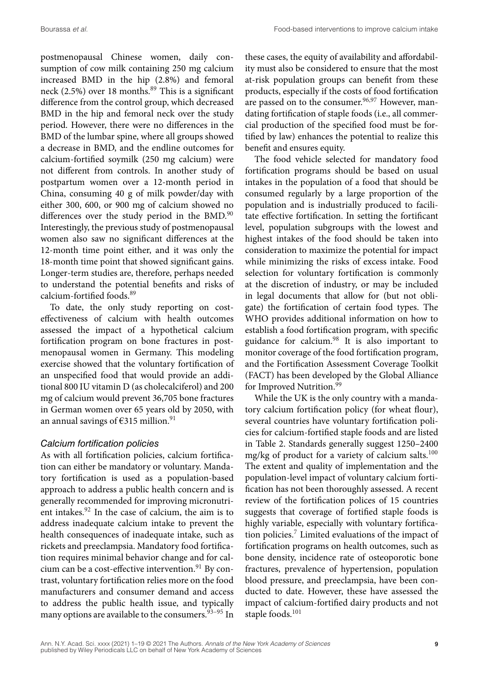postmenopausal Chinese women, daily consumption of cow milk containing 250 mg calcium increased BMD in the hip (2.8%) and femoral neck (2.5%) over 18 months.<sup>89</sup> This is a significant difference from the control group, which decreased BMD in the hip and femoral neck over the study period. However, there were no differences in the BMD of the lumbar spine, where all groups showed a decrease in BMD, and the endline outcomes for calcium-fortified soymilk (250 mg calcium) were not different from controls. In another study of postpartum women over a 12-month period in China, consuming 40 g of milk powder/day with either 300, 600, or 900 mg of calcium showed no differences over the study period in the BMD.<sup>90</sup> Interestingly, the previous study of postmenopausal women also saw no significant differences at the 12-month time point either, and it was only the 18-month time point that showed significant gains. Longer-term studies are, therefore, perhaps needed to understand the potential benefits and risks of calcium-fortified foods.<sup>89</sup>

To date, the only study reporting on costeffectiveness of calcium with health outcomes assessed the impact of a hypothetical calcium fortification program on bone fractures in postmenopausal women in Germany. This modeling exercise showed that the voluntary fortification of an unspecified food that would provide an additional 800 IU vitamin D (as cholecalciferol) and 200 mg of calcium would prevent 36,705 bone fractures in German women over 65 years old by 2050, with an annual savings of  $€315$  million.<sup>91</sup>

# *Calcium fortification policies*

As with all fortification policies, calcium fortification can either be mandatory or voluntary. Mandatory fortification is used as a population-based approach to address a public health concern and is generally recommended for improving micronutrient intakes.<sup>92</sup> In the case of calcium, the aim is to address inadequate calcium intake to prevent the health consequences of inadequate intake, such as rickets and preeclampsia. Mandatory food fortification requires minimal behavior change and for calcium can be a cost-effective intervention. $91$  By contrast, voluntary fortification relies more on the food manufacturers and consumer demand and access to address the public health issue, and typically many options are available to the consumers.  $93-95$  In

these cases, the equity of availability and affordability must also be considered to ensure that the most at-risk population groups can benefit from these products, especially if the costs of food fortification are passed on to the consumer.<sup>96,97</sup> However, mandating fortification of staple foods (i.e., all commercial production of the specified food must be fortified by law) enhances the potential to realize this benefit and ensures equity.

The food vehicle selected for mandatory food fortification programs should be based on usual intakes in the population of a food that should be consumed regularly by a large proportion of the population and is industrially produced to facilitate effective fortification. In setting the fortificant level, population subgroups with the lowest and highest intakes of the food should be taken into consideration to maximize the potential for impact while minimizing the risks of excess intake. Food selection for voluntary fortification is commonly at the discretion of industry, or may be included in legal documents that allow for (but not obligate) the fortification of certain food types. The WHO provides additional information on how to establish a food fortification program, with specific guidance for calcium.<sup>98</sup> It is also important to monitor coverage of the food fortification program, and the Fortification Assessment Coverage Toolkit (FACT) has been developed by the Global Alliance for Improved Nutrition.<sup>99</sup>

While the UK is the only country with a mandatory calcium fortification policy (for wheat flour), several countries have voluntary fortification policies for calcium-fortified staple foods and are listed in Table 2. Standards generally suggest 1250–2400 mg/kg of product for a variety of calcium salts.<sup>100</sup> The extent and quality of implementation and the population-level impact of voluntary calcium fortification has not been thoroughly assessed. A recent review of the fortification polices of 15 countries suggests that coverage of fortified staple foods is highly variable, especially with voluntary fortification policies. $7$  Limited evaluations of the impact of fortification programs on health outcomes, such as bone density, incidence rate of osteoporotic bone fractures, prevalence of hypertension, population blood pressure, and preeclampsia, have been conducted to date. However, these have assessed the impact of calcium-fortified dairy products and not staple foods.<sup>101</sup>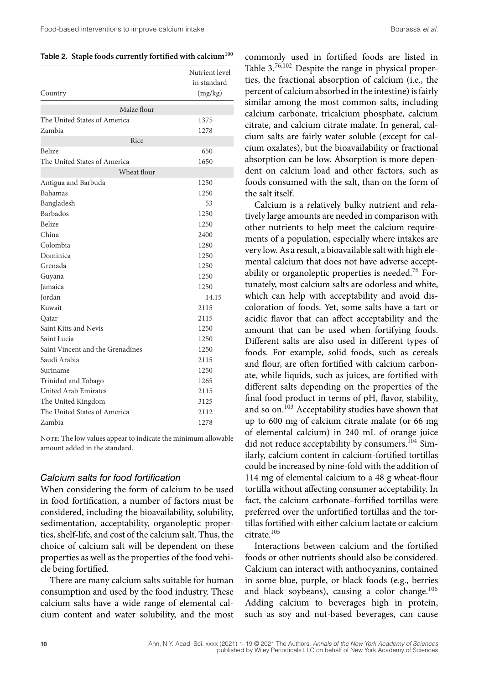Table 2. Staple foods currently fortified with calcium<sup>100</sup>

|                                  | Nutrient level<br>in standard |
|----------------------------------|-------------------------------|
| Country                          | (mg/kg)                       |
| Maize flour                      |                               |
| The United States of America     | 1375                          |
| Zambia                           | 1278                          |
| Rice                             |                               |
| <b>Belize</b>                    | 650                           |
| The United States of America     | 1650                          |
| Wheat flour                      |                               |
| Antigua and Barbuda              | 1250                          |
| Bahamas                          | 1250                          |
| Bangladesh                       | 53                            |
| <b>Barbados</b>                  | 1250                          |
| <b>Belize</b>                    | 1250                          |
| China                            | 2400                          |
| Colombia                         | 1280                          |
| Dominica                         | 1250                          |
| Grenada                          | 1250                          |
| Guyana                           | 1250                          |
| Jamaica                          | 1250                          |
| Jordan                           | 14.15                         |
| Kuwait                           | 2115                          |
| Qatar                            | 2115                          |
| Saint Kitts and Nevis            | 1250                          |
| Saint Lucia                      | 1250                          |
| Saint Vincent and the Grenadines | 1250                          |
| Saudi Arabia                     | 2115                          |
| Suriname                         | 1250                          |
| Trinidad and Tobago              | 1265                          |
| United Arab Emirates             | 2115                          |
| The United Kingdom               | 3125                          |
| The United States of America     | 2112                          |
| Zambia                           | 1278                          |

NOTE: The low values appear to indicate the minimum allowable amount added in the standard.

#### *Calcium salts for food fortification*

When considering the form of calcium to be used in food fortification, a number of factors must be considered, including the bioavailability, solubility, sedimentation, acceptability, organoleptic properties, shelf-life, and cost of the calcium salt. Thus, the choice of calcium salt will be dependent on these properties as well as the properties of the food vehicle being fortified.

There are many calcium salts suitable for human consumption and used by the food industry. These calcium salts have a wide range of elemental calcium content and water solubility, and the most commonly used in fortified foods are listed in Table 3.76,102 Despite the range in physical properties, the fractional absorption of calcium (i.e., the percent of calcium absorbed in the intestine) is fairly similar among the most common salts, including calcium carbonate, tricalcium phosphate, calcium citrate, and calcium citrate malate. In general, calcium salts are fairly water soluble (except for calcium oxalates), but the bioavailability or fractional absorption can be low. Absorption is more dependent on calcium load and other factors, such as foods consumed with the salt, than on the form of the salt itself.

Calcium is a relatively bulky nutrient and relatively large amounts are needed in comparison with other nutrients to help meet the calcium requirements of a population, especially where intakes are very low. As a result, a bioavailable salt with high elemental calcium that does not have adverse acceptability or organoleptic properties is needed.<sup>76</sup> Fortunately, most calcium salts are odorless and white, which can help with acceptability and avoid discoloration of foods. Yet, some salts have a tart or acidic flavor that can affect acceptability and the amount that can be used when fortifying foods. Different salts are also used in different types of foods. For example, solid foods, such as cereals and flour, are often fortified with calcium carbonate, while liquids, such as juices, are fortified with different salts depending on the properties of the final food product in terms of pH, flavor, stability, and so on.103 Acceptability studies have shown that up to 600 mg of calcium citrate malate (or 66 mg of elemental calcium) in 240 mL of orange juice did not reduce acceptability by consumers.<sup>104</sup> Similarly, calcium content in calcium-fortified tortillas could be increased by nine-fold with the addition of 114 mg of elemental calcium to a 48 g wheat-flour tortilla without affecting consumer acceptability. In fact, the calcium carbonate–fortified tortillas were preferred over the unfortified tortillas and the tortillas fortified with either calcium lactate or calcium citrate.105

Interactions between calcium and the fortified foods or other nutrients should also be considered. Calcium can interact with anthocyanins, contained in some blue, purple, or black foods (e.g., berries and black soybeans), causing a color change.<sup>106</sup> Adding calcium to beverages high in protein, such as soy and nut-based beverages, can cause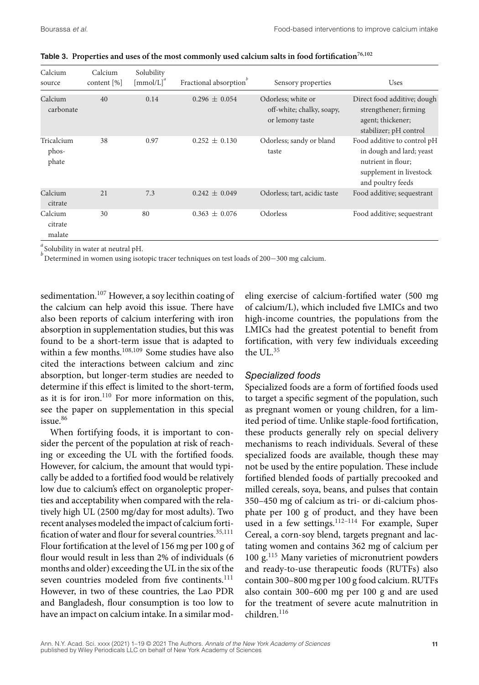| Calcium<br>source            | Calcium<br>content [%] | Solubility<br>$\left[\text{mmol/L}\right]^u$ | Fractional absorption <sup>b</sup> | Sensory properties                                                 | Uses                                                                                                                          |
|------------------------------|------------------------|----------------------------------------------|------------------------------------|--------------------------------------------------------------------|-------------------------------------------------------------------------------------------------------------------------------|
| Calcium<br>carbonate         | 40                     | 0.14                                         | $0.296 \pm 0.054$                  | Odorless: white or<br>off-white; chalky, soapy,<br>or lemony taste | Direct food additive; dough<br>strengthener; firming<br>agent; thickener;<br>stabilizer; pH control                           |
| Tricalcium<br>phos-<br>phate | 38                     | 0.97                                         | $0.252 \pm 0.130$                  | Odorless; sandy or bland<br>taste                                  | Food additive to control pH<br>in dough and lard; yeast<br>nutrient in flour:<br>supplement in livestock<br>and poultry feeds |
| Calcium<br>citrate           | 21                     | 7.3                                          | $0.242 \pm 0.049$                  | Odorless; tart, acidic taste                                       | Food additive; sequestrant                                                                                                    |
| Calcium<br>citrate<br>malate | 30                     | 80                                           | $0.363 \pm 0.076$                  | Odorless                                                           | Food additive; sequestrant                                                                                                    |

**Table 3. Properties and uses of the most commonly used calcium salts in food fortification76,102**

*a* Solubility in water at neutral pH.

*b*<sup>*b*</sup> Determined in women using isotopic tracer techniques on test loads of 200–300 mg calcium.

sedimentation.<sup>107</sup> However, a soy lecithin coating of the calcium can help avoid this issue. There have also been reports of calcium interfering with iron absorption in supplementation studies, but this was found to be a short-term issue that is adapted to within a few months.<sup>108,109</sup> Some studies have also cited the interactions between calcium and zinc absorption, but longer-term studies are needed to determine if this effect is limited to the short-term, as it is for iron.<sup>110</sup> For more information on this, see the paper on supplementation in this special issue.<sup>86</sup>

When fortifying foods, it is important to consider the percent of the population at risk of reaching or exceeding the UL with the fortified foods. However, for calcium, the amount that would typically be added to a fortified food would be relatively low due to calcium's effect on organoleptic properties and acceptability when compared with the relatively high UL (2500 mg/day for most adults). Two recent analyses modeled the impact of calcium fortification of water and flour for several countries.<sup>35,111</sup> Flour fortification at the level of 156 mg per 100 g of flour would result in less than 2% of individuals (6 months and older) exceeding the UL in the six of the seven countries modeled from five continents.<sup>111</sup> However, in two of these countries, the Lao PDR and Bangladesh, flour consumption is too low to have an impact on calcium intake. In a similar modeling exercise of calcium-fortified water (500 mg of calcium/L), which included five LMICs and two high-income countries, the populations from the LMICs had the greatest potential to benefit from fortification, with very few individuals exceeding the  $UL^{35}$ 

# *Specialized foods*

Specialized foods are a form of fortified foods used to target a specific segment of the population, such as pregnant women or young children, for a limited period of time. Unlike staple-food fortification, these products generally rely on special delivery mechanisms to reach individuals. Several of these specialized foods are available, though these may not be used by the entire population. These include fortified blended foods of partially precooked and milled cereals, soya, beans, and pulses that contain 350–450 mg of calcium as tri- or di-calcium phosphate per 100 g of product, and they have been used in a few settings.<sup>112-114</sup> For example, Super Cereal, a corn-soy blend, targets pregnant and lactating women and contains 362 mg of calcium per 100  $g<sup>115</sup>$  Many varieties of micronutrient powders and ready-to-use therapeutic foods (RUTFs) also contain 300–800 mg per 100 g food calcium. RUTFs also contain 300–600 mg per 100 g and are used for the treatment of severe acute malnutrition in children.116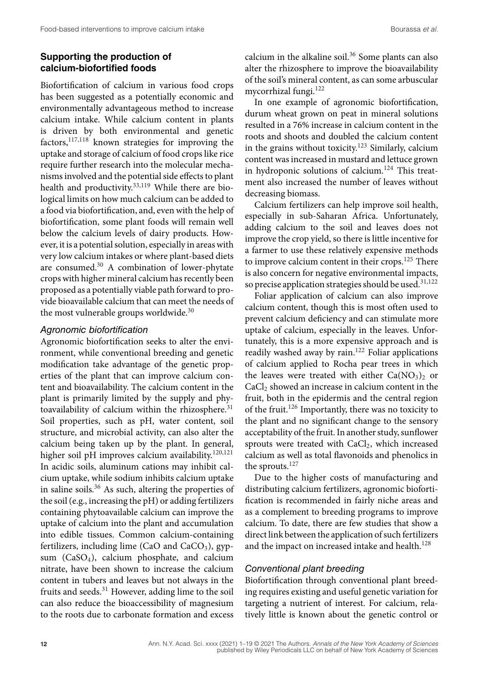# **Supporting the production of calcium-biofortified foods**

Biofortification of calcium in various food crops has been suggested as a potentially economic and environmentally advantageous method to increase calcium intake. While calcium content in plants is driven by both environmental and genetic factors,117,118 known strategies for improving the uptake and storage of calcium of food crops like rice require further research into the molecular mechanisms involved and the potential side effects to plant health and productivity.<sup>33,119</sup> While there are biological limits on how much calcium can be added to a food via biofortification, and, even with the help of biofortification, some plant foods will remain well below the calcium levels of dairy products. However, it is a potential solution, especially in areas with very low calcium intakes or where plant-based diets are consumed.30 A combination of lower-phytate crops with higher mineral calcium has recently been proposed as a potentially viable path forward to provide bioavailable calcium that can meet the needs of the most vulnerable groups worldwide.<sup>30</sup>

# *Agronomic biofortification*

Agronomic biofortification seeks to alter the environment, while conventional breeding and genetic modification take advantage of the genetic properties of the plant that can improve calcium content and bioavailability. The calcium content in the plant is primarily limited by the supply and phytoavailability of calcium within the rhizosphere. $31$ Soil properties, such as pH, water content, soil structure, and microbial activity, can also alter the calcium being taken up by the plant. In general, higher soil pH improves calcium availability.<sup>120,121</sup> In acidic soils, aluminum cations may inhibit calcium uptake, while sodium inhibits calcium uptake in saline soils.<sup>36</sup> As such, altering the properties of the soil (e.g., increasing the pH) or adding fertilizers containing phytoavailable calcium can improve the uptake of calcium into the plant and accumulation into edible tissues. Common calcium-containing fertilizers, including lime (CaO and CaCO<sub>3</sub>), gypsum (CaSO<sub>4</sub>), calcium phosphate, and calcium nitrate, have been shown to increase the calcium content in tubers and leaves but not always in the fruits and seeds. $31$  However, adding lime to the soil can also reduce the bioaccessibility of magnesium to the roots due to carbonate formation and excess

calcium in the alkaline soil.<sup>36</sup> Some plants can also alter the rhizosphere to improve the bioavailability of the soil's mineral content, as can some arbuscular mycorrhizal fungi.<sup>122</sup>

In one example of agronomic biofortification, durum wheat grown on peat in mineral solutions resulted in a 76% increase in calcium content in the roots and shoots and doubled the calcium content in the grains without toxicity.123 Similarly, calcium content was increased in mustard and lettuce grown in hydroponic solutions of calcium.<sup>124</sup> This treatment also increased the number of leaves without decreasing biomass.

Calcium fertilizers can help improve soil health, especially in sub-Saharan Africa. Unfortunately, adding calcium to the soil and leaves does not improve the crop yield, so there is little incentive for a farmer to use these relatively expensive methods to improve calcium content in their crops.<sup>125</sup> There is also concern for negative environmental impacts, so precise application strategies should be used. $31,122$ 

Foliar application of calcium can also improve calcium content, though this is most often used to prevent calcium deficiency and can stimulate more uptake of calcium, especially in the leaves. Unfortunately, this is a more expensive approach and is readily washed away by rain. $122$  Foliar applications of calcium applied to Rocha pear trees in which the leaves were treated with either  $Ca(NO<sub>3</sub>)<sub>2</sub>$  or  $CaCl<sub>2</sub>$  showed an increase in calcium content in the fruit, both in the epidermis and the central region of the fruit.126 Importantly, there was no toxicity to the plant and no significant change to the sensory acceptability of the fruit. In another study, sunflower sprouts were treated with  $CaCl<sub>2</sub>$ , which increased calcium as well as total flavonoids and phenolics in the sprouts.<sup>127</sup>

Due to the higher costs of manufacturing and distributing calcium fertilizers, agronomic biofortification is recommended in fairly niche areas and as a complement to breeding programs to improve calcium. To date, there are few studies that show a direct link between the application of such fertilizers and the impact on increased intake and health.<sup>128</sup>

#### *Conventional plant breeding*

Biofortification through conventional plant breeding requires existing and useful genetic variation for targeting a nutrient of interest. For calcium, relatively little is known about the genetic control or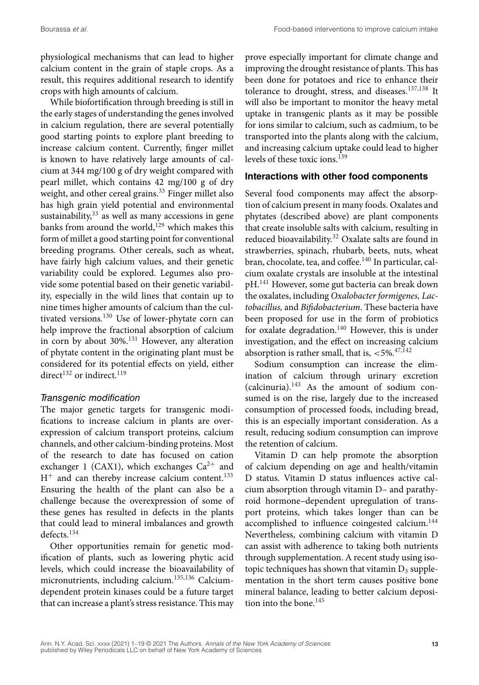physiological mechanisms that can lead to higher calcium content in the grain of staple crops. As a result, this requires additional research to identify crops with high amounts of calcium.

While biofortification through breeding is still in the early stages of understanding the genes involved in calcium regulation, there are several potentially good starting points to explore plant breeding to increase calcium content. Currently, finger millet is known to have relatively large amounts of calcium at 344 mg/100 g of dry weight compared with pearl millet, which contains 42 mg/100 g of dry weight, and other cereal grains.<sup>33</sup> Finger millet also has high grain yield potential and environmental sustainability,  $33$  as well as many accessions in gene banks from around the world, $129$  which makes this form of millet a good starting point for conventional breeding programs. Other cereals, such as wheat, have fairly high calcium values, and their genetic variability could be explored. Legumes also provide some potential based on their genetic variability, especially in the wild lines that contain up to nine times higher amounts of calcium than the cultivated versions.<sup>130</sup> Use of lower-phytate corn can help improve the fractional absorption of calcium in corn by about  $30\%$ .<sup>131</sup> However, any alteration of phytate content in the originating plant must be considered for its potential effects on yield, either direct.<sup>132</sup> or indirect.<sup>119</sup>

#### *Transgenic modification*

The major genetic targets for transgenic modifications to increase calcium in plants are overexpression of calcium transport proteins, calcium channels, and other calcium-binding proteins. Most of the research to date has focused on cation exchanger 1 (CAX1), which exchanges  $Ca^{2+}$  and  $H^+$  and can thereby increase calcium content.<sup>133</sup> Ensuring the health of the plant can also be a challenge because the overexpression of some of these genes has resulted in defects in the plants that could lead to mineral imbalances and growth defects.<sup>134</sup>

Other opportunities remain for genetic modification of plants, such as lowering phytic acid levels, which could increase the bioavailability of micronutrients, including calcium.<sup>135,136</sup> Calciumdependent protein kinases could be a future target that can increase a plant's stress resistance. This may

prove especially important for climate change and improving the drought resistance of plants. This has been done for potatoes and rice to enhance their tolerance to drought, stress, and diseases.137,138 It will also be important to monitor the heavy metal uptake in transgenic plants as it may be possible for ions similar to calcium, such as cadmium, to be transported into the plants along with the calcium, and increasing calcium uptake could lead to higher levels of these toxic ions.<sup>139</sup>

### **Interactions with other food components**

Several food components may affect the absorption of calcium present in many foods. Oxalates and phytates (described above) are plant components that create insoluble salts with calcium, resulting in reduced bioavailability.<sup>32</sup> Oxalate salts are found in strawberries, spinach, rhubarb, beets, nuts, wheat bran, chocolate, tea, and coffee.<sup>140</sup> In particular, calcium oxalate crystals are insoluble at the intestinal pH.141 However, some gut bacteria can break down the oxalates, including *Oxalobacter formigenes, Lactobacillus,* and *Bifidobacterium*. These bacteria have been proposed for use in the form of probiotics for oxalate degradation.<sup>140</sup> However, this is under investigation, and the effect on increasing calcium absorption is rather small, that is,  $\langle 5\% \cdot 47,142 \rangle$ 

Sodium consumption can increase the elimination of calcium through urinary excretion  $(calcinuria).<sup>143</sup>$  As the amount of sodium consumed is on the rise, largely due to the increased consumption of processed foods, including bread, this is an especially important consideration. As a result, reducing sodium consumption can improve the retention of calcium.

Vitamin D can help promote the absorption of calcium depending on age and health/vitamin D status. Vitamin D status influences active calcium absorption through vitamin D– and parathyroid hormone–dependent upregulation of transport proteins, which takes longer than can be accomplished to influence coingested calcium.<sup>144</sup> Nevertheless, combining calcium with vitamin D can assist with adherence to taking both nutrients through supplementation. A recent study using isotopic techniques has shown that vitamin  $D_3$  supplementation in the short term causes positive bone mineral balance, leading to better calcium deposition into the bone. $145$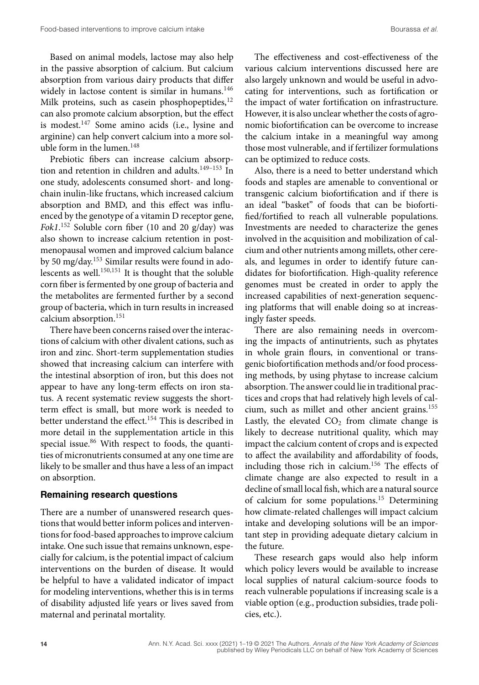Based on animal models, lactose may also help in the passive absorption of calcium. But calcium absorption from various dairy products that differ widely in lactose content is similar in humans.<sup>146</sup> Milk proteins, such as casein phosphopeptides, $^{12}$ can also promote calcium absorption, but the effect is modest.<sup>147</sup> Some amino acids (i.e., lysine and arginine) can help convert calcium into a more soluble form in the lumen.  $^{148}\,$ 

Prebiotic fibers can increase calcium absorption and retention in children and adults.<sup>149-153</sup> In one study, adolescents consumed short- and longchain inulin-like fructans, which increased calcium absorption and BMD, and this effect was influenced by the genotype of a vitamin D receptor gene, *Fok1*. <sup>152</sup> Soluble corn fiber (10 and 20 g/day) was also shown to increase calcium retention in postmenopausal women and improved calcium balance by 50 mg/day.153 Similar results were found in adolescents as well.150,151 It is thought that the soluble corn fiber is fermented by one group of bacteria and the metabolites are fermented further by a second group of bacteria, which in turn results in increased calcium absorption.<sup>151</sup>

There have been concerns raised over the interactions of calcium with other divalent cations, such as iron and zinc. Short-term supplementation studies showed that increasing calcium can interfere with the intestinal absorption of iron, but this does not appear to have any long-term effects on iron status. A recent systematic review suggests the shortterm effect is small, but more work is needed to better understand the effect.<sup>154</sup> This is described in more detail in the supplementation article in this special issue.<sup>86</sup> With respect to foods, the quantities of micronutrients consumed at any one time are likely to be smaller and thus have a less of an impact on absorption.

#### **Remaining research questions**

There are a number of unanswered research questions that would better inform polices and interventions for food-based approaches to improve calcium intake. One such issue that remains unknown, especially for calcium, is the potential impact of calcium interventions on the burden of disease. It would be helpful to have a validated indicator of impact for modeling interventions, whether this is in terms of disability adjusted life years or lives saved from maternal and perinatal mortality.

The effectiveness and cost-effectiveness of the various calcium interventions discussed here are also largely unknown and would be useful in advocating for interventions, such as fortification or the impact of water fortification on infrastructure. However, it is also unclear whether the costs of agronomic biofortification can be overcome to increase the calcium intake in a meaningful way among those most vulnerable, and if fertilizer formulations can be optimized to reduce costs.

Also, there is a need to better understand which foods and staples are amenable to conventional or transgenic calcium biofortification and if there is an ideal "basket" of foods that can be biofortified/fortified to reach all vulnerable populations. Investments are needed to characterize the genes involved in the acquisition and mobilization of calcium and other nutrients among millets, other cereals, and legumes in order to identify future candidates for biofortification. High-quality reference genomes must be created in order to apply the increased capabilities of next-generation sequencing platforms that will enable doing so at increasingly faster speeds.

There are also remaining needs in overcoming the impacts of antinutrients, such as phytates in whole grain flours, in conventional or transgenic biofortification methods and/or food processing methods, by using phytase to increase calcium absorption. The answer could lie in traditional practices and crops that had relatively high levels of calcium, such as millet and other ancient grains.<sup>155</sup> Lastly, the elevated  $CO<sub>2</sub>$  from climate change is likely to decrease nutritional quality, which may impact the calcium content of crops and is expected to affect the availability and affordability of foods, including those rich in calcium.156 The effects of climate change are also expected to result in a decline of small local fish, which are a natural source of calcium for some populations.<sup>15</sup> Determining how climate-related challenges will impact calcium intake and developing solutions will be an important step in providing adequate dietary calcium in the future.

These research gaps would also help inform which policy levers would be available to increase local supplies of natural calcium-source foods to reach vulnerable populations if increasing scale is a viable option (e.g., production subsidies, trade policies, etc.).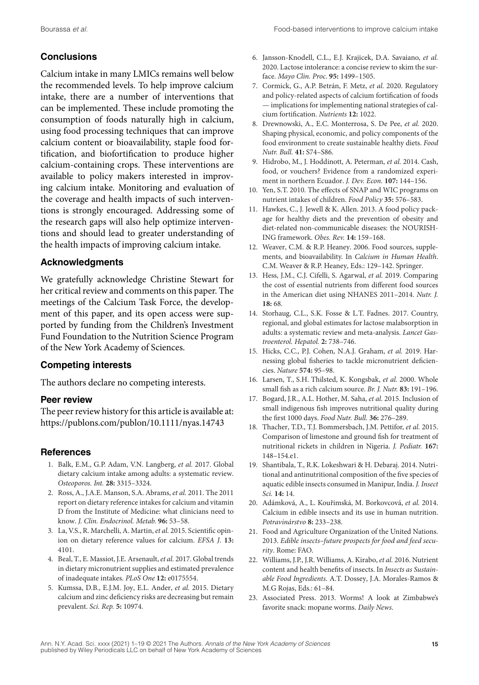# **Conclusions**

Calcium intake in many LMICs remains well below the recommended levels. To help improve calcium intake, there are a number of interventions that can be implemented. These include promoting the consumption of foods naturally high in calcium, using food processing techniques that can improve calcium content or bioavailability, staple food fortification, and biofortification to produce higher calcium-containing crops. These interventions are available to policy makers interested in improving calcium intake. Monitoring and evaluation of the coverage and health impacts of such interventions is strongly encouraged. Addressing some of the research gaps will also help optimize interventions and should lead to greater understanding of the health impacts of improving calcium intake.

# **Acknowledgments**

We gratefully acknowledge Christine Stewart for her critical review and comments on this paper. The meetings of the Calcium Task Force, the development of this paper, and its open access were supported by funding from the Children's Investment Fund Foundation to the Nutrition Science Program of the New York Academy of Sciences.

# **Competing interests**

The authors declare no competing interests.

# **Peer review**

The peer review history for this article is available at: <https://publons.com/publon/10.1111/nyas.14743>

# **References**

- 1. Balk, E.M., G.P. Adam, V.N. Langberg, *et al.* 2017. Global dietary calcium intake among adults: a systematic review. *Osteoporos. Int.* **28:** 3315–3324.
- 2. Ross, A., J.A.E. Manson, S.A. Abrams, *et al.* 2011. The 2011 report on dietary reference intakes for calcium and vitamin D from the Institute of Medicine: what clinicians need to know. *J. Clin. Endocrinol. Metab.* **96:** 53–58.
- 3. La, V.S., R. Marchelli, A. Martin, *et al.* 2015. Scientific opinion on dietary reference values for calcium. *EFSA J*. **13:** 4101.
- 4. Beal, T., E. Massiot, J.E. Arsenault, *et al.* 2017. Global trends in dietary micronutrient supplies and estimated prevalence of inadequate intakes. *PLoS One* **12:** e0175554.
- 5. Kumssa, D.B., E.J.M. Joy, E.L. Ander, *et al.* 2015. Dietary calcium and zinc deficiency risks are decreasing but remain prevalent. *Sci. Rep.* **5:** 10974.
- 6. Jansson-Knodell, C.L., E.J. Krajicek, D.A. Savaiano, *et al.* 2020. Lactose intolerance: a concise review to skim the surface. *Mayo Clin. Proc*. **95:** 1499–1505.
- 7. Cormick, G., A.P. Betrán, F. Metz, *et al.* 2020. Regulatory and policy-related aspects of calcium fortification of foods — implications for implementing national strategies of calcium fortification. *Nutrients* **12:** 1022.
- 8. Drewnowski, A., E.C. Monterrosa, S. De Pee, *et al.* 2020. Shaping physical, economic, and policy components of the food environment to create sustainable healthy diets. *Food Nutr. Bull.* **41:** S74–S86.
- 9. Hidrobo, M., J. Hoddinott, A. Peterman, *et al.* 2014. Cash, food, or vouchers? Evidence from a randomized experiment in northern Ecuador. *J. Dev. Econ.* **107:** 144–156.
- 10. Yen, S.T. 2010. The effects of SNAP and WIC programs on nutrient intakes of children. *Food Policy* **35:** 576–583.
- 11. Hawkes, C., J. Jewell & K. Allen. 2013. A food policy package for healthy diets and the prevention of obesity and diet-related non-communicable diseases: the NOURISH-ING framework. *Obes. Rev.* **14:** 159–168.
- 12. Weaver, C.M. & R.P. Heaney. 2006. Food sources, supplements, and bioavailability. In *Calcium in Human Health*. C.M. Weaver & R.P. Heaney, Eds.: 129–142. Springer.
- 13. Hess, J.M., C.J. Cifelli, S. Agarwal, *et al.* 2019. Comparing the cost of essential nutrients from different food sources in the American diet using NHANES 2011–2014. *Nutr. J.* **18:** 68.
- 14. Storhaug, C.L., S.K. Fosse & L.T. Fadnes. 2017. Country, regional, and global estimates for lactose malabsorption in adults: a systematic review and meta-analysis. *Lancet Gastroenterol. Hepatol.* **2:** 738–746.
- 15. Hicks, C.C., P.J. Cohen, N.A.J. Graham, *et al.* 2019. Harnessing global fisheries to tackle micronutrient deficiencies. *Nature* **574:** 95–98.
- 16. Larsen, T., S.H. Thilsted, K. Kongsbak, *et al.* 2000. Whole small fish as a rich calcium source. *Br. J. Nutr.* **83:** 191–196.
- 17. Bogard, J.R., A.L. Hother, M. Saha, *et al.* 2015. Inclusion of small indigenous fish improves nutritional quality during the first 1000 days. *Food Nutr. Bull.* **36:** 276–289.
- 18. Thacher, T.D., T.J. Bommersbach, J.M. Pettifor, *et al.* 2015. Comparison of limestone and ground fish for treatment of nutritional rickets in children in Nigeria. *J. Pediatr.* **167:** 148–154.e1.
- 19. Shantibala, T., R.K. Lokeshwari & H. Debaraj. 2014. Nutritional and antinutritional composition of the five species of aquatic edible insects consumed in Manipur, India. *J. Insect Sci.* **14:** 14.
- 20. Adámková, A., L. Kouˇrimská, M. Borkovcová, *et al.* 2014. Calcium in edible insects and its use in human nutrition. *Potravinárstvo* **8:** 233–238.
- 21. Food and Agriculture Organization of the United Nations. 2013. *Edible insects–future prospects for food and feed security*. Rome: FAO.
- 22. Williams, J.P., J.R. Williams, A. Kirabo, *et al.* 2016. Nutrient content and health benefits of insects. In *Insects as Sustainable Food Ingredients*. A.T. Dossey, J.A. Morales-Ramos & M.G Rojas, Eds.: 61–84.
- 23. Associated Press. 2013. Worms! A look at Zimbabwe's favorite snack: mopane worms. *Daily News*.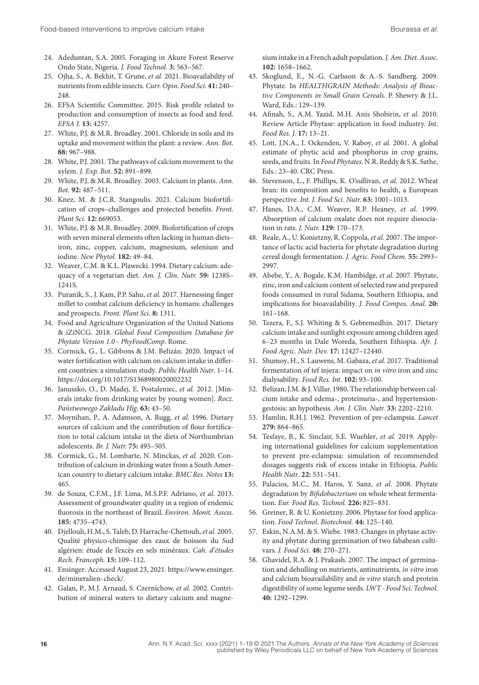- 24. Adeduntan, S.A. 2005. Foraging in Akure Forest Reserve Ondo State, Nigeria. *J. Food Technol.* **3:** 563–567.
- 25. Ojha, S., A. Bekhit, T. Grune, *et al.* 2021. Bioavailability of nutrients from edible insects. *Curr. Opin. Food Sci.* **41:** 240– 248.
- 26. EFSA Scientific Committee. 2015. Risk profile related to production and consumption of insects as food and feed. *EFSA J.* **13:** 4257.
- 27. White, P.J. & M.R. Broadley. 2001. Chloride in soils and its uptake and movement within the plant: a review. *Ann. Bot.* **88:** 967–988.
- 28. White, P.J. 2001. The pathways of calcium movement to the xylem. *J. Exp. Bot.* **52:** 891–899.
- 29. White, P.J. & M.R. Broadley. 2003. Calcium in plants. *Ann. Bot.* **92:** 487–511.
- 30. Knez, M. & J.C.R. Stangoulis. 2021. Calcium biofortification of crops–challenges and projected benefits. *Front. Plant Sci.* **12:** 669053.
- 31. White, P.J. & M.R. Broadley. 2009. Biofortification of crops with seven mineral elements often lacking in human diets– iron, zinc, copper, calcium, magnesium, selenium and iodine. *New Phytol*. **182:** 49–84.
- 32. Weaver, C.M. & K.L. Plawecki. 1994. Dietary calcium: adequacy of a vegetarian diet. *Am. J. Clin. Nutr.* **59:** 1238S– 1241S.
- 33. Puranik, S., J. Kam, P.P. Sahu, *et al.* 2017. Harnessing finger millet to combat calcium deficiency in humans: challenges and prospects. *Front. Plant Sci.* **8:** 1311.
- 34. Food and Agriculture Organization of the United Nations & iZiNCG. 2018. *Global Food Composition Database for Phytate Version 1.0 - PhyFoodComp*. Rome.
- 35. Cormick, G., L. Gibbons & J.M. Belizán. 2020. Impact of water fortification with calcium on calcium intake in different countries: a simulation study. *Public Health Nutr*. 1–14. <https://doi.org/10.1017/S1368980020002232>
- 36. Januszko, O., D. Madej, E. Postaleniec, *et al.* 2012. [Minerals intake from drinking water by young women]. *Rocz. Panstwowego Zakładu Hig. ´* **63:** 43–50.
- 37. Moynihan, P., A. Adamson, A. Rugg, *et al.* 1996. Dietary sources of calcium and the contribution of flour fortification to total calcium intake in the diets of Northumbrian adolescents. *Br. J. Nutr.* **75:** 495–505.
- 38. Cormick, G., M. Lombarte, N. Minckas, *et al.* 2020. Contribution of calcium in drinking water from a South American country to dietary calcium intake. *BMC Res. Notes* **13:** 465.
- 39. de Souza, C.F.M., J.F. Lima, M.S.P.F. Adriano, *et al.* 2013. Assessment of groundwater quality in a region of endemic fluorosis in the northeast of Brazil. *Environ. Monit. Assess.* **185:** 4735–4743.
- 40. Djellouli, H.M., S. Taleb, D. Harrache-Chettouh, *et al.* 2005. Qualité physico-chimique des eaux de boisson du Sud algérien: étude de l'excès en sels minéraux. *Cah. d'études Rech. Francoph.* **15:** 109–112.
- 41. Ensinger. Accessed August 23, 2021. [https://www.ensinger.](https://www.ensinger.de/mineralien-check/) [de/mineralien-check/.](https://www.ensinger.de/mineralien-check/)
- 42. Galan, P., M.J. Arnaud, S. Czernichow, *et al.* 2002. Contribution of mineral waters to dietary calcium and magne-

sium intake in a French adult population.*J. Am. Diet. Assoc.* **102:** 1658–1662.

- 43. Skoglund, E., N.-G. Carlsson & A.-S. Sandberg. 2009. Phytate. In *HEALTHGRAIN Methods: Analysis of Bioactive Components in Small Grain Cereals*. P. Shewry & J.L. Ward, Eds.: 129–139.
- 44. Afinah, S., A.M. Yazid, M.H. Anis Shobirin, *et al.* 2010. Review Article Phytase: application in food industry. *Int. Food Res. J.* **17:** 13–21.
- 45. Lott, J.N.A., I. Ockenden, V. Raboy, *et al.* 2001. A global estimate of phytic acid and phosphorus in crop grains, seeds, and fruits. In *Food Phytates*. N.R. Reddy & S.K. Sathe, Eds.: 23–40. CRC Press.
- 46. Stevenson, L., F. Phillips, K. O'sullivan, *et al.* 2012. Wheat bran: its composition and benefits to health, a European perspective. *Int. J. Food Sci. Nutr.* **63:** 1001–1013.
- 47. Hanes, D.A., C.M. Weaver, R.P. Heaney, *et al.* 1999. Absorption of calcium oxalate does not require dissociation in rats. *J. Nutr.* **129:** 170–173.
- 48. Reale, A., U. Konietzny, R. Coppola, *et al.* 2007. The importance of lactic acid bacteria for phytate degradation during cereal dough fermentation. *J. Agric. Food Chem.* **55:** 2993– 2997.
- 49. Abebe, Y., A. Bogale, K.M. Hambidge, *et al.* 2007. Phytate, zinc, iron and calcium content of selected raw and prepared foods consumed in rural Sidama, Southern Ethiopia, and implications for bioavailability. *J. Food Compos. Anal.* **20:** 161–168.
- 50. Tezera, F., S.J. Whiting & S. Gebremedhin. 2017. Dietary calcium intake and sunlight exposure among children aged 6–23 months in Dale Woreda, Southern Ethiopia. *Afr. J. Food Agric. Nutr. Dev.* **17:** 12427–12440.
- 51. Shumoy, H., S. Lauwens, M. Gabaza, *et al.* 2017. Traditional fermentation of tef injera: impact on *in vitro* iron and zinc dialysability. *Food Res. Int.* **102:** 93–100.
- 52. Belizan, J.M. & J. Villar. 1980. The relationship between calcium intake and edema-, proteinuria-, and hypertensiongestosis: an hypothesis. *Am. J. Clin. Nutr.* **33:** 2202–2210.
- 53. Hamlin, R.H.J. 1962. Prevention of pre-eclampsia. *Lancet* **279:** 864–865.
- 54. Tesfaye, B., K. Sinclair, S.E. Wuehler, *et al.* 2019. Applying international guidelines for calcium supplementation to prevent pre-eclampsia: simulation of recommended dosages suggests risk of excess intake in Ethiopia. *Public Health Nutr*. **22:** 531–541.
- 55. Palacios, M.C., M. Haros, Y. Sanz, *et al.* 2008. Phytate degradation by *Bifidobacterium* on whole wheat fermentation. *Eur. Food Res. Technol.* **226:** 825–831.
- 56. Greiner, R. & U. Konietzny. 2006. Phytase for food application. *Food Technol. Biotechnol.* **44:** 125–140.
- 57. Eskin, N.A.M. & S. Wiebe. 1983. Changes in phytase activity and phytate during germination of two fababean cultivars. *J. Food Sci.* **48:** 270–271.
- 58. Ghavidel, R.A. & J. Prakash. 2007. The impact of germination and dehulling on nutrients, antinutrients, *in vitro* iron and calcium bioavailability and *in vitro* starch and protein digestibility of some legume seeds. *LWT - Food Sci. Technol.* **40:** 1292–1299.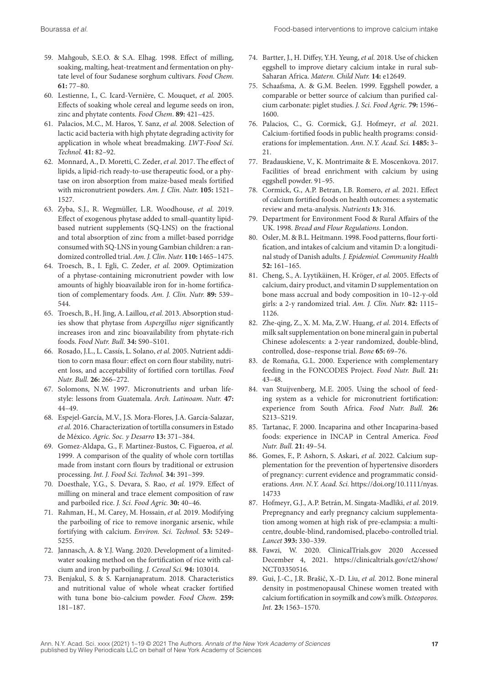- 59. Mahgoub, S.E.O. & S.A. Elhag. 1998. Effect of milling, soaking, malting, heat-treatment and fermentation on phytate level of four Sudanese sorghum cultivars. *Food Chem*. **61:** 77–80.
- 60. Lestienne, I., C. Icard-Vernière, C. Mouquet, *et al.* 2005. Effects of soaking whole cereal and legume seeds on iron, zinc and phytate contents. *Food Chem*. **89:** 421–425.
- 61. Palacios, M.C., M. Haros, Y. Sanz, *et al.* 2008. Selection of lactic acid bacteria with high phytate degrading activity for application in whole wheat breadmaking. *LWT-Food Sci. Technol.* **41:** 82–92.
- 62. Monnard, A., D. Moretti, C. Zeder, *et al.* 2017. The effect of lipids, a lipid-rich ready-to-use therapeutic food, or a phytase on iron absorption from maize-based meals fortified with micronutrient powders. *Am. J. Clin. Nutr.* **105:** 1521– 1527.
- 63. Zyba, S.J., R. Wegmüller, L.R. Woodhouse, *et al.* 2019. Effect of exogenous phytase added to small-quantity lipidbased nutrient supplements (SQ-LNS) on the fractional and total absorption of zinc from a millet-based porridge consumed with SQ-LNS in young Gambian children: a randomized controlled trial.*Am. J. Clin. Nutr.* **110:** 1465–1475.
- 64. Troesch, B., I. Egli, C. Zeder, *et al.* 2009. Optimization of a phytase-containing micronutrient powder with low amounts of highly bioavailable iron for in-home fortification of complementary foods. *Am. J. Clin. Nutr.* **89:** 539– 544.
- 65. Troesch, B., H. Jing, A. Laillou, *et al.* 2013. Absorption studies show that phytase from *Aspergillus niger* significantly increases iron and zinc bioavailability from phytate-rich foods. *Food Nutr. Bull.* **34:** S90–S101.
- 66. Rosado, J.L., L. Cassís, L. Solano, *et al.* 2005. Nutrient addition to corn masa flour: effect on corn flour stability, nutrient loss, and acceptability of fortified corn tortillas. *Food Nutr. Bull.* **26:** 266–272.
- 67. Solomons, N.W. 1997. Micronutrients and urban lifestyle: lessons from Guatemala. *Arch. Latinoam. Nutr.* **47:** 44–49.
- 68. Espejel-García, M.V., J.S. Mora-Flores, J.A. García-Salazar, *et al.* 2016. Characterization of tortilla consumers in Estado de México. *Agric. Soc. y Desarro* **13:** 371–384.
- 69. Gomez-Aldapa, G., F. Martinez-Bustos, C. Figueroa, *et al.* 1999. A comparison of the quality of whole corn tortillas made from instant corn flours by traditional or extrusion processing. *Int. J. Food Sci. Technol.* **34:** 391–399.
- 70. Doesthale, Y.G., S. Devara, S. Rao, *et al.* 1979. Effect of milling on mineral and trace element composition of raw and parboiled rice. *J. Sci. Food Agric.* **30:** 40–46.
- 71. Rahman, H., M. Carey, M. Hossain, *et al.* 2019. Modifying the parboiling of rice to remove inorganic arsenic, while fortifying with calcium. *Environ. Sci. Technol.* **53:** 5249– 5255.
- 72. Jannasch, A. & Y.J. Wang. 2020. Development of a limitedwater soaking method on the fortification of rice with calcium and iron by parboiling. *J. Cereal Sci.* **94:** 103014.
- 73. Benjakul, S. & S. Karnjanapratum. 2018. Characteristics and nutritional value of whole wheat cracker fortified with tuna bone bio-calcium powder. *Food Chem*. **259:** 181–187.
- 74. Bartter, J., H. Diffey, Y.H. Yeung, *et al.* 2018. Use of chicken eggshell to improve dietary calcium intake in rural sub-Saharan Africa. *Matern. Child Nutr.* **14:** e12649.
- 75. Schaafsma, A. & G.M. Beelen. 1999. Eggshell powder, a comparable or better source of calcium than purified calcium carbonate: piglet studies. *J. Sci. Food Agric.* **79:** 1596– 1600.
- 76. Palacios, C., G. Cormick, G.J. Hofmeyr, *et al.* 2021. Calcium-fortified foods in public health programs: considerations for implementation. *Ann. N.Y. Acad. Sci.* **1485:** 3– 21.
- 77. Bradauskiene, V., K. Montrimaite & E. Moscenkova. 2017. Facilities of bread enrichment with calcium by using eggshell powder. 91–95.
- 78. Cormick, G., A.P. Betran, I.B. Romero, *et al.* 2021. Effect of calcium fortified foods on health outcomes: a systematic review and meta-analysis. *Nutrients* **13:** 316.
- 79. Department for Environment Food & Rural Affairs of the UK. 1998. *Bread and Flour Regulations*. London.
- 80. Osler, M. & B.L. Heitmann. 1998. Food patterns, flour fortification, and intakes of calcium and vitamin D: a longitudinal study of Danish adults. *J. Epidemiol. Community Health* **52:** 161–165.
- 81. Cheng, S., A. Lyytikäinen, H. Kröger, *et al.* 2005. Effects of calcium, dairy product, and vitamin D supplementation on bone mass accrual and body composition in 10–12-y-old girls: a 2-y randomized trial. *Am. J. Clin. Nutr.* **82:** 1115– 1126.
- 82. Zhe-qing, Z., X. M. Ma, Z.W. Huang, *et al.* 2014. Effects of milk salt supplementation on bone mineral gain in pubertal Chinese adolescents: a 2-year randomized, double-blind, controlled, dose–response trial. *Bone* **65:** 69–76.
- 83. de Romaña, G.L. 2000. Experience with complementary feeding in the FONCODES Project. *Food Nutr. Bull.* **21:** 43–48.
- 84. van Stuijvenberg, M.E. 2005. Using the school of feeding system as a vehicle for micronutrient fortification: experience from South Africa. *Food Nutr. Bull.* **26:** S213–S219.
- 85. Tartanac, F. 2000. Incaparina and other Incaparina-based foods: experience in INCAP in Central America. *Food Nutr. Bull.* **21:** 49–54.
- 86. Gomes, F., P. Ashorn, S. Askari, *et al.* 2022. Calcium supplementation for the prevention of hypertensive disorders of pregnancy: current evidence and programmatic considerations. *Ann. N.Y. Acad. Sci.* [https://doi.org/10.1111/nyas.](https://doi.org/10.1111/nyas.14733) [14733](https://doi.org/10.1111/nyas.14733)
- 87. Hofmeyr, G.J., A.P. Betrán, M. Singata-Madliki, *et al.* 2019. Prepregnancy and early pregnancy calcium supplementation among women at high risk of pre-eclampsia: a multicentre, double-blind, randomised, placebo-controlled trial. *Lancet* **393:** 330–339.
- 88. Fawzi, W. 2020. ClinicalTrials.gov 2020 Accessed December 4, 2021. [https://clinicaltrials.gov/ct2/show/](https://clinicaltrials.gov/ct2/show/NCT03350516) [NCT03350516.](https://clinicaltrials.gov/ct2/show/NCT03350516)
- 89. Gui, J.-C., J.R. Brašić, X.-D. Liu, et al. 2012. Bone mineral density in postmenopausal Chinese women treated with calcium fortification in soymilk and cow's milk. *Osteoporos. Int.* **23:** 1563–1570.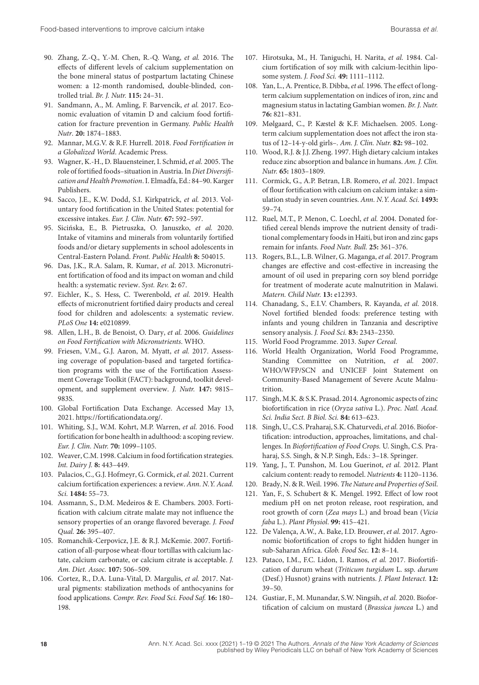- 90. Zhang, Z.-Q., Y.-M. Chen, R.-Q. Wang, *et al.* 2016. The effects of different levels of calcium supplementation on the bone mineral status of postpartum lactating Chinese women: a 12-month randomised, double-blinded, controlled trial. *Br. J. Nutr.* **115:** 24–31.
- 91. Sandmann, A., M. Amling, F. Barvencik, *et al.* 2017. Economic evaluation of vitamin D and calcium food fortification for fracture prevention in Germany. *Public Health Nutr*. **20:** 1874–1883.
- 92. Mannar, M.G.V. & R.F. Hurrell. 2018. *Food Fortification in a Globalized World*. Academic Press.
- 93. Wagner, K.-H., D. Blauensteiner, I. Schmid, *et al.* 2005. The role of fortified foods–situation in Austria. In *Diet Diversification and Health Promotion*. I. Elmadfa, Ed.: 84–90. Karger Publishers.
- 94. Sacco, J.E., K.W. Dodd, S.I. Kirkpatrick, *et al.* 2013. Voluntary food fortification in the United States: potential for excessive intakes. *Eur. J. Clin. Nutr.* **67:** 592–597.
- 95. Sicińska, E., B. Pietruszka, O. Januszko, et al. 2020. Intake of vitamins and minerals from voluntarily fortified foods and/or dietary supplements in school adolescents in Central-Eastern Poland. *Front. Public Health* **8:** 504015.
- 96. Das, J.K., R.A. Salam, R. Kumar, *et al.* 2013. Micronutrient fortification of food and its impact on woman and child health: a systematic review. *Syst. Rev.* **2:** 67.
- 97. Eichler, K., S. Hess, C. Twerenbold, *et al.* 2019. Health effects of micronutrient fortified dairy products and cereal food for children and adolescents: a systematic review. *PLoS One* **14:** e0210899.
- 98. Allen, L.H., B. de Benoist, O. Dary, *et al.* 2006. *Guidelines on Food Fortification with Micronutrients*. WHO.
- 99. Friesen, V.M., G.J. Aaron, M. Myatt, *et al.* 2017. Assessing coverage of population-based and targeted fortification programs with the use of the Fortification Assessment Coverage Toolkit (FACT): background, toolkit development, and supplement overview. *J. Nutr.* **147:** 981S– 983S.
- 100. Global Fortification Data Exchange. Accessed May 13, 2021. [https://fortificationdata.org/.](https://fortificationdata.org/)
- 101. Whiting, S.J., W.M. Kohrt, M.P. Warren, *et al.* 2016. Food fortification for bone health in adulthood: a scoping review. *Eur. J. Clin. Nutr.* **70:** 1099–1105.
- 102. Weaver, C.M. 1998. Calcium in food fortification strategies. *Int. Dairy J.* **8:** 443–449.
- 103. Palacios, C., G.J. Hofmeyr, G. Cormick, *et al.* 2021. Current calcium fortification experiences: a review. *Ann. N.Y. Acad. Sci.* **1484:** 55–73.
- 104. Assmann, S., D.M. Medeiros & E. Chambers. 2003. Fortification with calcium citrate malate may not influence the sensory properties of an orange flavored beverage. *J. Food Qual.* **26:** 395–407.
- 105. Romanchik-Cerpovicz, J.E. & R.J. McKemie. 2007. Fortification of all-purpose wheat-flour tortillas with calcium lactate, calcium carbonate, or calcium citrate is acceptable. *J. Am. Diet. Assoc.* **107:** 506–509.
- 106. Cortez, R., D.A. Luna-Vital, D. Margulis, *et al.* 2017. Natural pigments: stabilization methods of anthocyanins for food applications. *Compr. Rev. Food Sci. Food Saf.* **16:** 180– 198.
- 107. Hirotsuka, M., H. Taniguchi, H. Narita, *et al.* 1984. Calcium fortification of soy milk with calcium-lecithin liposome system. *J. Food Sci.* **49:** 1111–1112.
- 108. Yan, L., A. Prentice, B. Dibba, *et al.* 1996. The effect of longterm calcium supplementation on indices of iron, zinc and magnesium status in lactating Gambian women. *Br. J. Nutr.* **76:** 821–831.
- 109. Mølgaard, C., P. Kæstel & K.F. Michaelsen. 2005. Longterm calcium supplementation does not affect the iron status of 12–14-y-old girls–. *Am. J. Clin. Nutr.* **82:** 98–102.
- 110. Wood, R.J. & J.J. Zheng. 1997. High dietary calcium intakes reduce zinc absorption and balance in humans. *Am. J. Clin. Nutr.* **65:** 1803–1809.
- 111. Cormick, G., A.P. Betran, I.B. Romero, *et al.* 2021. Impact of flour fortification with calcium on calcium intake: a simulation study in seven countries. *Ann. N.Y. Acad. Sci.* **1493:** 59–74.
- 112. Ruel, M.T., P. Menon, C. Loechl, *et al.* 2004. Donated fortified cereal blends improve the nutrient density of traditional complementary foods in Haiti, but iron and zinc gaps remain for infants. *Food Nutr. Bull.* **25:** 361–376.
- 113. Rogers, B.L., L.B. Wilner, G. Maganga, *et al.* 2017. Program changes are effective and cost-effective in increasing the amount of oil used in preparing corn soy blend porridge for treatment of moderate acute malnutrition in Malawi. *Matern. Child Nutr.* **13:** e12393.
- 114. Chanadang, S., E.I.V. Chambers, R. Kayanda, *et al.* 2018. Novel fortified blended foods: preference testing with infants and young children in Tanzania and descriptive sensory analysis. *J. Food Sci.* **83:** 2343–2350.
- 115. World Food Programme. 2013. *Super Cereal*.
- 116. World Health Organization, World Food Programme, Standing Committee on Nutrition, *et al.* 2007. WHO/WFP/SCN and UNICEF Joint Statement on Community-Based Management of Severe Acute Malnutrition.
- 117. Singh, M.K. & S.K. Prasad. 2014. Agronomic aspects of zinc biofortification in rice (*Oryza sativa* L.). *Proc. Natl. Acad. Sci. India Sect. B Biol. Sci.* **84:** 613–623.
- 118. Singh, U., C.S. Praharaj, S.K. Chaturvedi, *et al.* 2016. Biofortification: introduction, approaches, limitations, and challenges. In *Biofortification of Food Crops.* U. Singh, C.S. Praharaj, S.S. Singh, & N.P. Singh, Eds.: 3–18. Springer.
- 119. Yang, J., T. Punshon, M. Lou Guerinot, *et al.* 2012. Plant calcium content: ready to remodel. *Nutrients* **4:** 1120–1136.
- 120. Brady, N. & R. Weil. 1996. *The Nature and Properties of Soil*.
- 121. Yan, F., S. Schubert & K. Mengel. 1992. Effect of low root medium pH on net proton release, root respiration, and root growth of corn (*Zea mays* L.) and broad bean (*Vicia faba* L.). *Plant Physiol*. **99:** 415–421.
- 122. De Valença, A.W., A. Bake, I.D. Brouwer, *et al.* 2017. Agronomic biofortification of crops to fight hidden hunger in sub-Saharan Africa. *Glob. Food Sec.* **12:** 8–14.
- 123. Pataco, I.M., F.C. Lidon, I. Ramos, *et al.* 2017. Biofortification of durum wheat (*Triticum turgidum* L. ssp. *durum* (Desf.) Husnot) grains with nutrients. *J. Plant Interact.* **12:** 39–50.
- 124. Gustiar, F., M. Munandar, S.W. Ningsih, *et al.* 2020. Biofortification of calcium on mustard (*Brassica juncea* L.) and